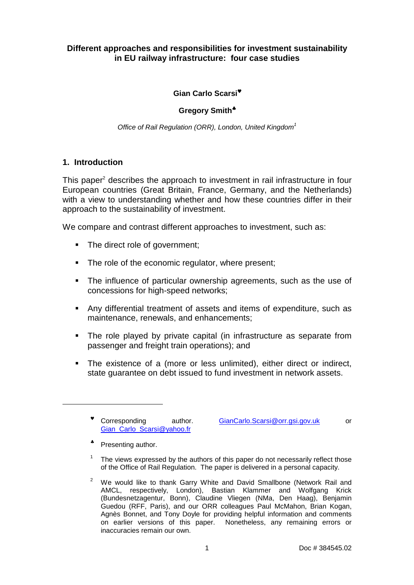## **Different approaches and responsibilities for investment sustainability in EU railway infrastructure: four case studies**

### **Gian Carlo Scarsi**♥

### **Gregory Smith**♣

Office of Rail Regulation (ORR), London, United Kingdom<sup>1</sup>

### **1. Introduction**

This paper<sup>2</sup> describes the approach to investment in rail infrastructure in four European countries (Great Britain, France, Germany, and the Netherlands) with a view to understanding whether and how these countries differ in their approach to the sustainability of investment.

We compare and contrast different approaches to investment, such as:

- The direct role of government;
- The role of the economic regulator, where present;
- The influence of particular ownership agreements, such as the use of concessions for high-speed networks;
- Any differential treatment of assets and items of expenditure, such as maintenance, renewals, and enhancements;
- The role played by private capital (in infrastructure as separate from passenger and freight train operations); and
- The existence of a (more or less unlimited), either direct or indirect, state guarantee on debt issued to fund investment in network assets.

\* Corresponding Gian\_Carlo\_Scarsi@yahoo.fr

author. GianCarlo.Scarsi@orr.gsi.gov.uk or

♣ Presenting author.

l

1 The views expressed by the authors of this paper do not necessarily reflect those of the Office of Rail Regulation. The paper is delivered in a personal capacity.

 $2$  We would like to thank Garry White and David Smallbone (Network Rail and AMCL, respectively, London), Bastian Klammer and Wolfgang Krick (Bundesnetzagentur, Bonn), Claudine Vliegen (NMa, Den Haag), Benjamin Guedou (RFF, Paris), and our ORR colleagues Paul McMahon, Brian Kogan, Agnès Bonnet, and Tony Doyle for providing helpful information and comments on earlier versions of this paper. Nonetheless, any remaining errors or inaccuracies remain our own.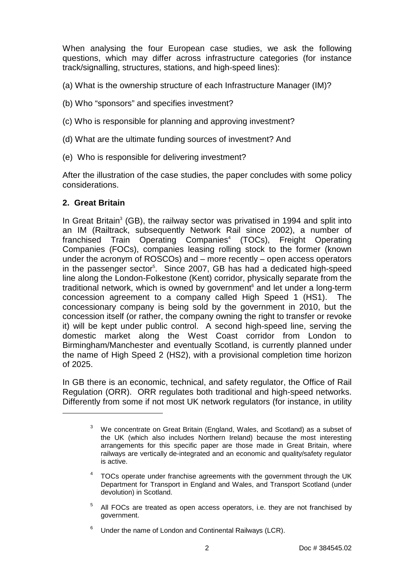When analysing the four European case studies, we ask the following questions, which may differ across infrastructure categories (for instance track/signalling, structures, stations, and high-speed lines):

(a) What is the ownership structure of each Infrastructure Manager (IM)?

- (b) Who "sponsors" and specifies investment?
- (c) Who is responsible for planning and approving investment?
- (d) What are the ultimate funding sources of investment? And
- (e) Who is responsible for delivering investment?

After the illustration of the case studies, the paper concludes with some policy considerations.

## **2. Great Britain**

l

In Great Britain<sup>3</sup> (GB), the railway sector was privatised in 1994 and split into an IM (Railtrack, subsequently Network Rail since 2002), a number of franchised Train Operating Companies<sup>4</sup> (TOCs), Freight Operating Companies (FOCs), companies leasing rolling stock to the former (known under the acronym of ROSCOs) and – more recently – open access operators in the passenger sector<sup>5</sup>. Since 2007, GB has had a dedicated high-speed line along the London-Folkestone (Kent) corridor, physically separate from the traditional network, which is owned by government<sup>6</sup> and let under a long-term concession agreement to a company called High Speed 1 (HS1). The concessionary company is being sold by the government in 2010, but the concession itself (or rather, the company owning the right to transfer or revoke it) will be kept under public control. A second high-speed line, serving the domestic market along the West Coast corridor from London to Birmingham/Manchester and eventually Scotland, is currently planned under the name of High Speed 2 (HS2), with a provisional completion time horizon of 2025.

In GB there is an economic, technical, and safety regulator, the Office of Rail Regulation (ORR). ORR regulates both traditional and high-speed networks. Differently from some if not most UK network regulators (for instance, in utility

5 All FOCs are treated as open access operators, i.e. they are not franchised by government.

 $3$  We concentrate on Great Britain (England, Wales, and Scotland) as a subset of the UK (which also includes Northern Ireland) because the most interesting arrangements for this specific paper are those made in Great Britain, where railways are vertically de-integrated and an economic and quality/safety regulator is active.

 $4$  TOCs operate under franchise agreements with the government through the UK Department for Transport in England and Wales, and Transport Scotland (under devolution) in Scotland.

<sup>6</sup> Under the name of London and Continental Railways (LCR).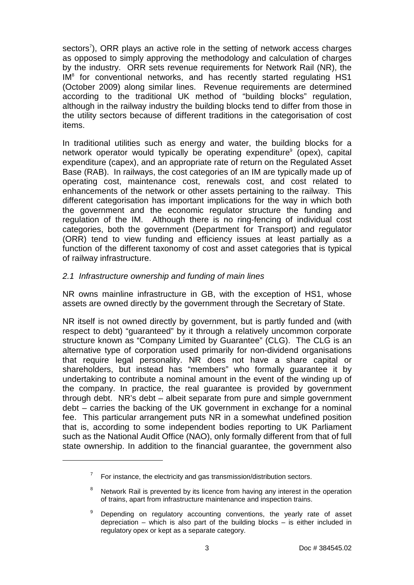sectors<sup>7</sup>), ORR plays an active role in the setting of network access charges as opposed to simply approving the methodology and calculation of charges by the industry. ORR sets revenue requirements for Network Rail (NR), the IM<sup>8</sup> for conventional networks, and has recently started regulating HS1 (October 2009) along similar lines. Revenue requirements are determined according to the traditional UK method of "building blocks" regulation, although in the railway industry the building blocks tend to differ from those in the utility sectors because of different traditions in the categorisation of cost items.

In traditional utilities such as energy and water, the building blocks for a network operator would typically be operating expenditure<sup>9</sup> (opex), capital expenditure (capex), and an appropriate rate of return on the Regulated Asset Base (RAB). In railways, the cost categories of an IM are typically made up of operating cost, maintenance cost, renewals cost, and cost related to enhancements of the network or other assets pertaining to the railway. This different categorisation has important implications for the way in which both the government and the economic regulator structure the funding and regulation of the IM. Although there is no ring-fencing of individual cost categories, both the government (Department for Transport) and regulator (ORR) tend to view funding and efficiency issues at least partially as a function of the different taxonomy of cost and asset categories that is typical of railway infrastructure.

## 2.1 Infrastructure ownership and funding of main lines

l

NR owns mainline infrastructure in GB, with the exception of HS1, whose assets are owned directly by the government through the Secretary of State.

NR itself is not owned directly by government, but is partly funded and (with respect to debt) "guaranteed" by it through a relatively uncommon corporate structure known as "Company Limited by Guarantee" (CLG). The CLG is an alternative type of corporation used primarily for non-dividend organisations that require legal personality. NR does not have a share capital or shareholders, but instead has "members" who formally guarantee it by undertaking to contribute a nominal amount in the event of the winding up of the company. In practice, the real guarantee is provided by government through debt. NR's debt – albeit separate from pure and simple government debt – carries the backing of the UK government in exchange for a nominal fee. This particular arrangement puts NR in a somewhat undefined position that is, according to some independent bodies reporting to UK Parliament such as the National Audit Office (NAO), only formally different from that of full state ownership. In addition to the financial guarantee, the government also

 $7$  For instance, the electricity and gas transmission/distribution sectors.

<sup>8</sup> Network Rail is prevented by its licence from having any interest in the operation of trains, apart from infrastructure maintenance and inspection trains.

<sup>9</sup> Depending on regulatory accounting conventions, the yearly rate of asset depreciation – which is also part of the building blocks – is either included in regulatory opex or kept as a separate category.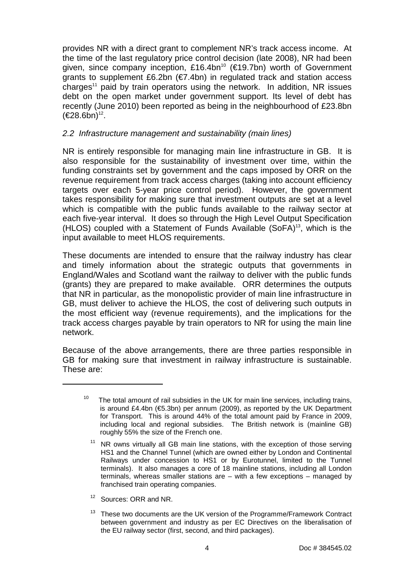provides NR with a direct grant to complement NR's track access income. At the time of the last regulatory price control decision (late 2008), NR had been given, since company inception, £16.4bn<sup>10</sup> (€19.7bn) worth of Government grants to supplement £6.2bn ( $\epsilon$ 7.4bn) in regulated track and station access charges<sup>11</sup> paid by train operators using the network. In addition, NR issues debt on the open market under government support. Its level of debt has recently (June 2010) been reported as being in the neighbourhood of £23.8bn  $(€28.6bn)^{12}.$ 

### 2.2 Infrastructure management and sustainability (main lines)

NR is entirely responsible for managing main line infrastructure in GB. It is also responsible for the sustainability of investment over time, within the funding constraints set by government and the caps imposed by ORR on the revenue requirement from track access charges (taking into account efficiency targets over each 5-year price control period). However, the government takes responsibility for making sure that investment outputs are set at a level which is compatible with the public funds available to the railway sector at each five-year interval. It does so through the High Level Output Specification (HLOS) coupled with a Statement of Funds Available  $(SoFA)^{13}$ , which is the input available to meet HLOS requirements.

These documents are intended to ensure that the railway industry has clear and timely information about the strategic outputs that governments in England/Wales and Scotland want the railway to deliver with the public funds (grants) they are prepared to make available. ORR determines the outputs that NR in particular, as the monopolistic provider of main line infrastructure in GB, must deliver to achieve the HLOS, the cost of delivering such outputs in the most efficient way (revenue requirements), and the implications for the track access charges payable by train operators to NR for using the main line network.

Because of the above arrangements, there are three parties responsible in GB for making sure that investment in railway infrastructure is sustainable. These are:

<sup>12</sup> Sources: ORR and NR.

<sup>10</sup> The total amount of rail subsidies in the UK for main line services, including trains, is around £4.4bn ( $\epsilon$ 5.3bn) per annum (2009), as reported by the UK Department for Transport. This is around 44% of the total amount paid by France in 2009, including local and regional subsidies. The British network is (mainline GB) roughly 55% the size of the French one.

 $11$  NR owns virtually all GB main line stations, with the exception of those serving HS1 and the Channel Tunnel (which are owned either by London and Continental Railways under concession to HS1 or by Eurotunnel, limited to the Tunnel terminals). It also manages a core of 18 mainline stations, including all London terminals, whereas smaller stations are – with a few exceptions – managed by franchised train operating companies.

 $13$  These two documents are the UK version of the Programme/Framework Contract between government and industry as per EC Directives on the liberalisation of the EU railway sector (first, second, and third packages).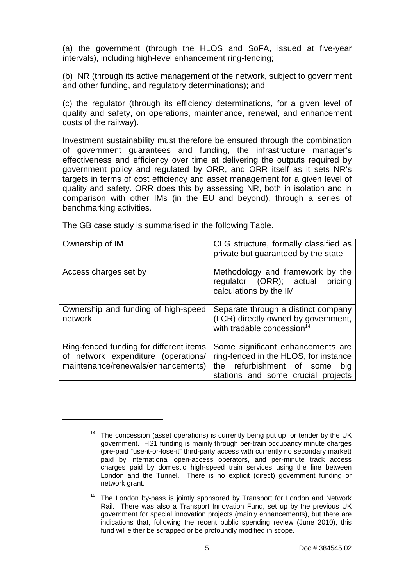(a) the government (through the HLOS and SoFA, issued at five-year intervals), including high-level enhancement ring-fencing;

(b) NR (through its active management of the network, subject to government and other funding, and regulatory determinations); and

(c) the regulator (through its efficiency determinations, for a given level of quality and safety, on operations, maintenance, renewal, and enhancement costs of the railway).

Investment sustainability must therefore be ensured through the combination of government guarantees and funding, the infrastructure manager's effectiveness and efficiency over time at delivering the outputs required by government policy and regulated by ORR, and ORR itself as it sets NR's targets in terms of cost efficiency and asset management for a given level of quality and safety. ORR does this by assessing NR, both in isolation and in comparison with other IMs (in the EU and beyond), through a series of benchmarking activities.

| Ownership of IM                                                                                                      | CLG structure, formally classified as<br>private but guaranteed by the state                                                                         |
|----------------------------------------------------------------------------------------------------------------------|------------------------------------------------------------------------------------------------------------------------------------------------------|
| Access charges set by                                                                                                | Methodology and framework by the<br>regulator (ORR); actual<br>pricing<br>calculations by the IM                                                     |
| Ownership and funding of high-speed<br>network                                                                       | Separate through a distinct company<br>(LCR) directly owned by government,<br>with tradable concession <sup>14</sup>                                 |
| Ring-fenced funding for different items<br>of network expenditure (operations/<br>maintenance/renewals/enhancements) | Some significant enhancements are<br>ring-fenced in the HLOS, for instance<br>the refurbishment of some<br>big<br>stations and some crucial projects |

The GB case study is summarised in the following Table.

<sup>&</sup>lt;sup>14</sup> The concession (asset operations) is currently being put up for tender by the UK government. HS1 funding is mainly through per-train occupancy minute charges (pre-paid "use-it-or-lose-it" third-party access with currently no secondary market) paid by international open-access operators, and per-minute track access charges paid by domestic high-speed train services using the line between London and the Tunnel. There is no explicit (direct) government funding or network grant.

 $15$  The London by-pass is jointly sponsored by Transport for London and Network Rail. There was also a Transport Innovation Fund, set up by the previous UK government for special innovation projects (mainly enhancements), but there are indications that, following the recent public spending review (June 2010), this fund will either be scrapped or be profoundly modified in scope.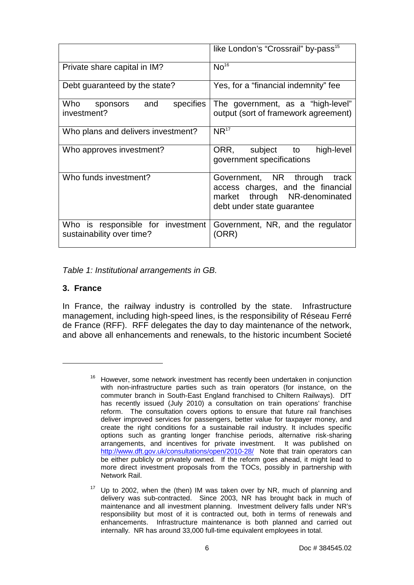|                                                                | like London's "Crossrail" by-pass <sup>15</sup>                                                                                  |
|----------------------------------------------------------------|----------------------------------------------------------------------------------------------------------------------------------|
| Private share capital in IM?                                   | No <sup>16</sup>                                                                                                                 |
| Debt guaranteed by the state?                                  | Yes, for a "financial indemnity" fee                                                                                             |
| Who sponsors and<br>specifies<br>investment?                   | The government, as a "high-level"<br>output (sort of framework agreement)                                                        |
| Who plans and delivers investment?                             | $NR^{17}$                                                                                                                        |
| Who approves investment?                                       | ORR, subject to<br>high-level<br>government specifications                                                                       |
| Who funds investment?                                          | Government, NR through track<br>access charges, and the financial<br>market through NR-denominated<br>debt under state guarantee |
| Who is responsible for investment<br>sustainability over time? | Government, NR, and the regulator<br>(ORR)                                                                                       |

Table 1: Institutional arrangements in GB.

## **3. France**

l

In France, the railway industry is controlled by the state. Infrastructure management, including high-speed lines, is the responsibility of Réseau Ferré de France (RFF). RFF delegates the day to day maintenance of the network, and above all enhancements and renewals, to the historic incumbent Societé

<sup>&</sup>lt;sup>16</sup> However, some network investment has recently been undertaken in conjunction with non-infrastructure parties such as train operators (for instance, on the commuter branch in South-East England franchised to Chiltern Railways). DfT has recently issued (July 2010) a consultation on train operations' franchise reform. The consultation covers options to ensure that future rail franchises deliver improved services for passengers, better value for taxpayer money, and create the right conditions for a sustainable rail industry. It includes specific options such as granting longer franchise periods, alternative risk-sharing arrangements, and incentives for private investment. It was published on http://www.dft.gov.uk/consultations/open/2010-28/ Note that train operators can be either publicly or privately owned. If the reform goes ahead, it might lead to more direct investment proposals from the TOCs, possibly in partnership with Network Rail.

 $17$  Up to 2002, when the (then) IM was taken over by NR, much of planning and delivery was sub-contracted. Since 2003, NR has brought back in much of maintenance and all investment planning. Investment delivery falls under NR's responsibility but most of it is contracted out, both in terms of renewals and enhancements. Infrastructure maintenance is both planned and carried out internally. NR has around 33,000 full-time equivalent employees in total.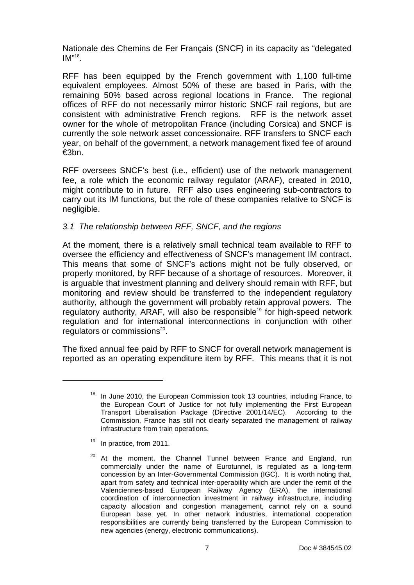Nationale des Chemins de Fer Français (SNCF) in its capacity as "delegated  $IM^{\prime\prime 18}$ .

RFF has been equipped by the French government with 1,100 full-time equivalent employees. Almost 50% of these are based in Paris, with the remaining 50% based across regional locations in France. The regional offices of RFF do not necessarily mirror historic SNCF rail regions, but are consistent with administrative French regions. RFF is the network asset owner for the whole of metropolitan France (including Corsica) and SNCF is currently the sole network asset concessionaire. RFF transfers to SNCF each year, on behalf of the government, a network management fixed fee of around €3bn.

RFF oversees SNCF's best (i.e., efficient) use of the network management fee, a role which the economic railway regulator (ARAF), created in 2010, might contribute to in future. RFF also uses engineering sub-contractors to carry out its IM functions, but the role of these companies relative to SNCF is negligible.

## 3.1 The relationship between RFF, SNCF, and the regions

At the moment, there is a relatively small technical team available to RFF to oversee the efficiency and effectiveness of SNCF's management IM contract. This means that some of SNCF's actions might not be fully observed, or properly monitored, by RFF because of a shortage of resources. Moreover, it is arguable that investment planning and delivery should remain with RFF, but monitoring and review should be transferred to the independent regulatory authority, although the government will probably retain approval powers. The regulatory authority, ARAF, will also be responsible <sup>19</sup> for high-speed network regulation and for international interconnections in conjunction with other regulators or commissions $20$ .

The fixed annual fee paid by RFF to SNCF for overall network management is reported as an operating expenditure item by RFF. This means that it is not

<sup>19</sup> In practice, from 2011.

In June 2010, the European Commission took 13 countries, including France, to the European Court of Justice for not fully implementing the First European Transport Liberalisation Package (Directive 2001/14/EC). According to the Commission, France has still not clearly separated the management of railway infrastructure from train operations.

<sup>&</sup>lt;sup>20</sup> At the moment, the Channel Tunnel between France and England, run commercially under the name of Eurotunnel, is regulated as a long-term concession by an Inter-Governmental Commission (IGC). It is worth noting that, apart from safety and technical inter-operability which are under the remit of the Valenciennes-based European Railway Agency (ERA), the international coordination of interconnection investment in railway infrastructure, including capacity allocation and congestion management, cannot rely on a sound European base yet. In other network industries, international cooperation responsibilities are currently being transferred by the European Commission to new agencies (energy, electronic communications).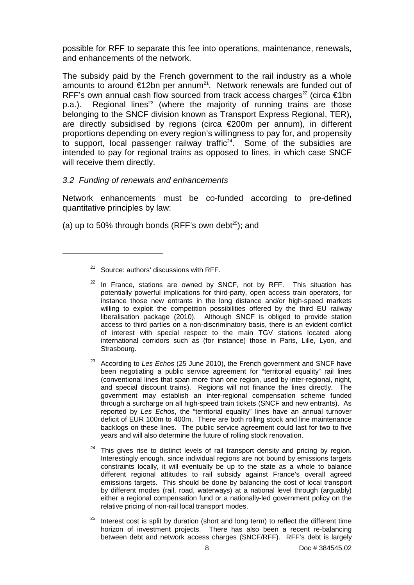possible for RFF to separate this fee into operations, maintenance, renewals, and enhancements of the network.

The subsidy paid by the French government to the rail industry as a whole amounts to around €12bn per annum<sup>21</sup>. Network renewals are funded out of RFF's own annual cash flow sourced from track access charges<sup>22</sup> (circa  $\epsilon$ 1bn  $p.a.$ ). Regional lines<sup>23</sup> (where the majority of running trains are those belonging to the SNCF division known as Transport Express Regional, TER), are directly subsidised by regions (circa €200m per annum), in different proportions depending on every region's willingness to pay for, and propensity to support, local passenger railway traffic $24$ . Some of the subsidies are intended to pay for regional trains as opposed to lines, in which case SNCF will receive them directly.

## 3.2 Funding of renewals and enhancements

Network enhancements must be co-funded according to pre-defined quantitative principles by law:

(a) up to 50% through bonds (RFF's own debt $^{25}$ ); and

- <sup>24</sup> This gives rise to distinct levels of rail transport density and pricing by region. Interestingly enough, since individual regions are not bound by emissions targets constraints locally, it will eventually be up to the state as a whole to balance different regional attitudes to rail subsidy against France's overall agreed emissions targets. This should be done by balancing the cost of local transport by different modes (rail, road, waterways) at a national level through (arguably) either a regional compensation fund or a nationally-led government policy on the relative pricing of non-rail local transport modes.
- $25$  Interest cost is split by duration (short and long term) to reflect the different time horizon of investment projects. There has also been a recent re-balancing between debt and network access charges (SNCF/RFF). RFF's debt is largely

<sup>&</sup>lt;sup>21</sup> Source: authors' discussions with RFF.

 $22$  In France, stations are owned by SNCF, not by RFF. This situation has potentially powerful implications for third-party, open access train operators, for instance those new entrants in the long distance and/or high-speed markets willing to exploit the competition possibilities offered by the third EU railway liberalisation package (2010). Although SNCF is obliged to provide station access to third parties on a non-discriminatory basis, there is an evident conflict of interest with special respect to the main TGV stations located along international corridors such as (for instance) those in Paris, Lille, Lyon, and Strasbourg.

 $23$  According to Les Echos (25 June 2010), the French government and SNCF have been negotiating a public service agreement for "territorial equality" rail lines (conventional lines that span more than one region, used by inter-regional, night, and special discount trains). Regions will not finance the lines directly. The government may establish an inter-regional compensation scheme funded through a surcharge on all high-speed train tickets (SNCF and new entrants). As reported by Les Echos, the "territorial equality" lines have an annual turnover deficit of EUR 100m to 400m. There are both rolling stock and line maintenance backlogs on these lines. The public service agreement could last for two to five years and will also determine the future of rolling stock renovation.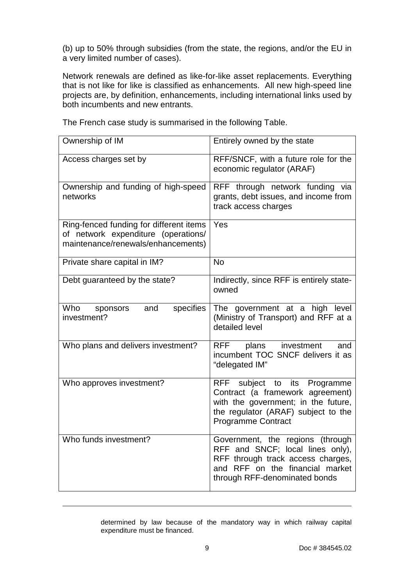(b) up to 50% through subsidies (from the state, the regions, and/or the EU in a very limited number of cases).

Network renewals are defined as like-for-like asset replacements. Everything that is not like for like is classified as enhancements. All new high-speed line projects are, by definition, enhancements, including international links used by both incumbents and new entrants.

Ownership of IM **Entirely owned by the state** Access charges set by **RFF/SNCF**, with a future role for the economic regulator (ARAF) Ownership and funding of high-speed networks RFF through network funding via grants, debt issues, and income from track access charges Ring-fenced funding for different items of network expenditure (operations/ maintenance/renewals/enhancements) Yes Private share capital in IM? No Debt guaranteed by the state? | Indirectly, since RFF is entirely stateowned Who sponsors and specifies investment? The government at a high level (Ministry of Transport) and RFF at a detailed level Who plans and delivers investment? | RFF plans investment and incumbent TOC SNCF delivers it as "delegated IM" Who approves investment?  $\parallel$  RFF subject to its Programme Contract (a framework agreement) with the government; in the future, the regulator (ARAF) subject to the Programme Contract Who funds investment? **Government**, the regions (through RFF and SNCF; local lines only), RFF through track access charges, and RFF on the financial market through RFF-denominated bonds

The French case study is summarised in the following Table.

determined by law because of the mandatory way in which railway capital expenditure must be financed.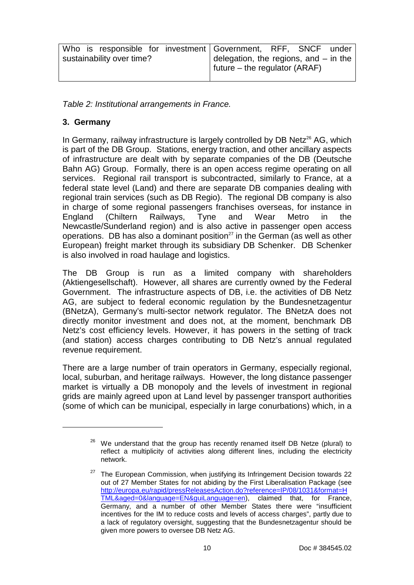|                           | Who is responsible for investment Government, RFF, SNCF under                  |
|---------------------------|--------------------------------------------------------------------------------|
| sustainability over time? | delegation, the regions, and - in the<br>$\vert$ future – the regulator (ARAF) |

Table 2: Institutional arrangements in France.

# **3. Germany**

l

In Germany, railway infrastructure is largely controlled by DB Netz<sup>26</sup> AG, which is part of the DB Group. Stations, energy traction, and other ancillary aspects of infrastructure are dealt with by separate companies of the DB (Deutsche Bahn AG) Group. Formally, there is an open access regime operating on all services. Regional rail transport is subcontracted, similarly to France, at a federal state level (Land) and there are separate DB companies dealing with regional train services (such as DB Regio). The regional DB company is also in charge of some regional passengers franchises overseas, for instance in England (Chiltern Railways, Tyne and Wear Metro in the Newcastle/Sunderland region) and is also active in passenger open access operations. DB has also a dominant position $^{27}$  in the German (as well as other European) freight market through its subsidiary DB Schenker. DB Schenker is also involved in road haulage and logistics.

The DB Group is run as a limited company with shareholders (Aktiengesellschaft). However, all shares are currently owned by the Federal Government. The infrastructure aspects of DB, i.e. the activities of DB Netz AG, are subject to federal economic regulation by the Bundesnetzagentur (BNetzA), Germany's multi-sector network regulator. The BNetzA does not directly monitor investment and does not, at the moment, benchmark DB Netz's cost efficiency levels. However, it has powers in the setting of track (and station) access charges contributing to DB Netz's annual regulated revenue requirement.

There are a large number of train operators in Germany, especially regional, local, suburban, and heritage railways. However, the long distance passenger market is virtually a DB monopoly and the levels of investment in regional grids are mainly agreed upon at Land level by passenger transport authorities (some of which can be municipal, especially in large conurbations) which, in a

 $26$  We understand that the group has recently renamed itself DB Netze (plural) to reflect a multiplicity of activities along different lines, including the electricity network.

 $27$  The European Commission, when justifying its Infringement Decision towards 22 out of 27 Member States for not abiding by the First Liberalisation Package (see http://europa.eu/rapid/pressReleasesAction.do?reference=IP/08/1031&format=H TML&aged=0&language=EN&guiLanguage=en), claimed that, for France, Germany, and a number of other Member States there were "insufficient incentives for the IM to reduce costs and levels of access charges", partly due to a lack of regulatory oversight, suggesting that the Bundesnetzagentur should be given more powers to oversee DB Netz AG.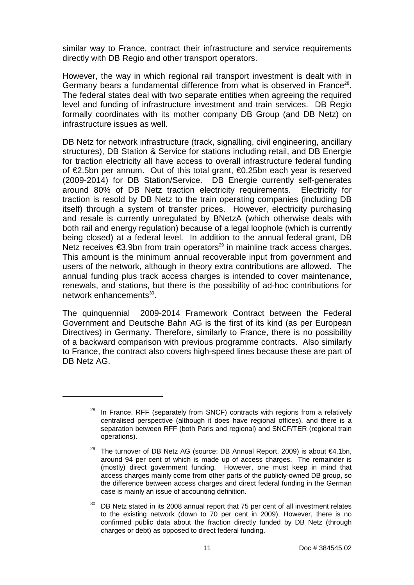similar way to France, contract their infrastructure and service requirements directly with DB Regio and other transport operators.

However, the way in which regional rail transport investment is dealt with in Germany bears a fundamental difference from what is observed in France<sup>28</sup>. The federal states deal with two separate entities when agreeing the required level and funding of infrastructure investment and train services. DB Regio formally coordinates with its mother company DB Group (and DB Netz) on infrastructure issues as well.

DB Netz for network infrastructure (track, signalling, civil engineering, ancillary structures), DB Station & Service for stations including retail, and DB Energie for traction electricity all have access to overall infrastructure federal funding of €2.5bn per annum. Out of this total grant, €0.25bn each year is reserved (2009-2014) for DB Station/Service. DB Energie currently self-generates around 80% of DB Netz traction electricity requirements. Electricity for traction is resold by DB Netz to the train operating companies (including DB itself) through a system of transfer prices. However, electricity purchasing and resale is currently unregulated by BNetzA (which otherwise deals with both rail and energy regulation) because of a legal loophole (which is currently being closed) at a federal level. In addition to the annual federal grant, DB Netz receives  $\epsilon$ 3.9bn from train operators<sup>29</sup> in mainline track access charges. This amount is the minimum annual recoverable input from government and users of the network, although in theory extra contributions are allowed. The annual funding plus track access charges is intended to cover maintenance, renewals, and stations, but there is the possibility of ad-hoc contributions for network enhancements<sup>30</sup>.

The quinquennial 2009-2014 Framework Contract between the Federal Government and Deutsche Bahn AG is the first of its kind (as per European Directives) in Germany. Therefore, similarly to France, there is no possibility of a backward comparison with previous programme contracts. Also similarly to France, the contract also covers high-speed lines because these are part of DB Netz AG.

 $28$  In France, RFF (separately from SNCF) contracts with regions from a relatively centralised perspective (although it does have regional offices), and there is a separation between RFF (both Paris and regional) and SNCF/TER (regional train operations).

<sup>&</sup>lt;sup>29</sup> The turnover of DB Netz AG (source: DB Annual Report, 2009) is about  $\epsilon$ 4.1bn, around 94 per cent of which is made up of access charges. The remainder is (mostly) direct government funding. However, one must keep in mind that access charges mainly come from other parts of the publicly-owned DB group, so the difference between access charges and direct federal funding in the German case is mainly an issue of accounting definition.

 $30$  DB Netz stated in its 2008 annual report that 75 per cent of all investment relates to the existing network (down to 70 per cent in 2009). However, there is no confirmed public data about the fraction directly funded by DB Netz (through charges or debt) as opposed to direct federal funding.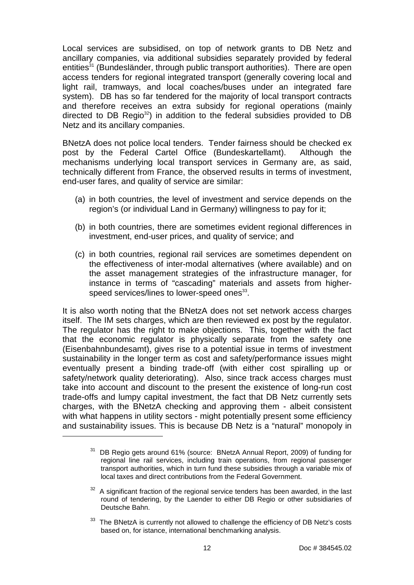Local services are subsidised, on top of network grants to DB Netz and ancillary companies, via additional subsidies separately provided by federal entities<sup>31</sup> (Bundesländer, through public transport authorities). There are open access tenders for regional integrated transport (generally covering local and light rail, tramways, and local coaches/buses under an integrated fare system). DB has so far tendered for the majority of local transport contracts and therefore receives an extra subsidy for regional operations (mainly directed to DB Regio<sup>32</sup>) in addition to the federal subsidies provided to DB Netz and its ancillary companies.

BNetzA does not police local tenders. Tender fairness should be checked ex post by the Federal Cartel Office (Bundeskartellamt). Although the mechanisms underlying local transport services in Germany are, as said, technically different from France, the observed results in terms of investment, end-user fares, and quality of service are similar:

- (a) in both countries, the level of investment and service depends on the region's (or individual Land in Germany) willingness to pay for it;
- (b) in both countries, there are sometimes evident regional differences in investment, end-user prices, and quality of service; and
- (c) in both countries, regional rail services are sometimes dependent on the effectiveness of inter-modal alternatives (where available) and on the asset management strategies of the infrastructure manager, for instance in terms of "cascading" materials and assets from higherspeed services/lines to lower-speed ones<sup>33</sup>.

It is also worth noting that the BNetzA does not set network access charges itself. The IM sets charges, which are then reviewed ex post by the regulator. The regulator has the right to make objections. This, together with the fact that the economic regulator is physically separate from the safety one (Eisenbahnbundesamt), gives rise to a potential issue in terms of investment sustainability in the longer term as cost and safety/performance issues might eventually present a binding trade-off (with either cost spiralling up or safety/network quality deteriorating). Also, since track access charges must take into account and discount to the present the existence of long-run cost trade-offs and lumpy capital investment, the fact that DB Netz currently sets charges, with the BNetzA checking and approving them - albeit consistent with what happens in utility sectors - might potentially present some efficiency and sustainability issues. This is because DB Netz is a "natural" monopoly in l

<sup>31</sup> DB Regio gets around 61% (source: BNetzA Annual Report, 2009) of funding for regional line rail services, including train operations, from regional passenger transport authorities, which in turn fund these subsidies through a variable mix of local taxes and direct contributions from the Federal Government.

 $32$  A significant fraction of the regional service tenders has been awarded, in the last round of tendering, by the Laender to either DB Regio or other subsidiaries of Deutsche Bahn.

<sup>&</sup>lt;sup>33</sup> The BNetzA is currently not allowed to challenge the efficiency of DB Netz's costs based on, for istance, international benchmarking analysis.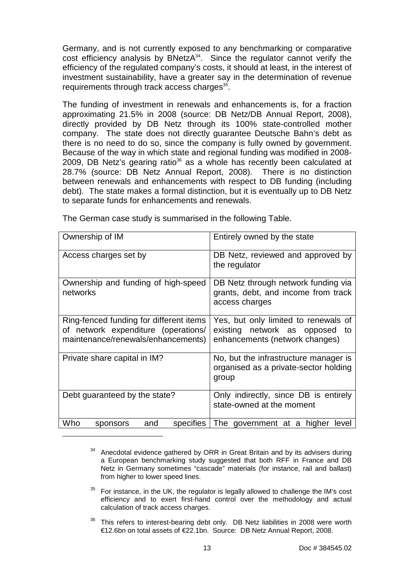Germany, and is not currently exposed to any benchmarking or comparative cost efficiency analysis by BNetzA<sup>34</sup>. Since the regulator cannot verify the efficiency of the regulated company's costs, it should at least, in the interest of investment sustainability, have a greater say in the determination of revenue requirements through track access charges<sup>35</sup>.

The funding of investment in renewals and enhancements is, for a fraction approximating 21.5% in 2008 (source: DB Netz/DB Annual Report, 2008), directly provided by DB Netz through its 100% state-controlled mother company. The state does not directly guarantee Deutsche Bahn's debt as there is no need to do so, since the company is fully owned by government. Because of the way in which state and regional funding was modified in 2008- 2009, DB Netz's gearing ratio $36$  as a whole has recently been calculated at 28.7% (source: DB Netz Annual Report, 2008). There is no distinction between renewals and enhancements with respect to DB funding (including debt). The state makes a formal distinction, but it is eventually up to DB Netz to separate funds for enhancements and renewals.

| Ownership of IM                                                                                                      | Entirely owned by the state                                                                                 |
|----------------------------------------------------------------------------------------------------------------------|-------------------------------------------------------------------------------------------------------------|
| Access charges set by                                                                                                | DB Netz, reviewed and approved by<br>the regulator                                                          |
| Ownership and funding of high-speed<br>networks                                                                      | DB Netz through network funding via<br>grants, debt, and income from track<br>access charges                |
| Ring-fenced funding for different items<br>of network expenditure (operations/<br>maintenance/renewals/enhancements) | Yes, but only limited to renewals of<br>existing network as opposed<br>to<br>enhancements (network changes) |
| Private share capital in IM?                                                                                         | No, but the infrastructure manager is<br>organised as a private-sector holding<br>group                     |
| Debt guaranteed by the state?                                                                                        | Only indirectly, since DB is entirely<br>state-owned at the moment                                          |
| Who<br>specifies<br>and<br>sponsors                                                                                  | The government at a<br>higher<br>level                                                                      |

The German case study is summarised in the following Table.

- $35$  For instance, in the UK, the regulator is legally allowed to challenge the IM's cost efficiency and to exert first-hand control over the methodology and actual calculation of track access charges.
- $36$  This refers to interest-bearing debt only. DB Netz liabilities in 2008 were worth €12.6bn on total assets of €22.1bn. Source: DB Netz Annual Report, 2008.

<sup>&</sup>lt;sup>34</sup> Anecdotal evidence gathered by ORR in Great Britain and by its advisers during a European benchmarking study suggested that both RFF in France and DB Netz in Germany sometimes "cascade" materials (for instance, rail and ballast) from higher to lower speed lines.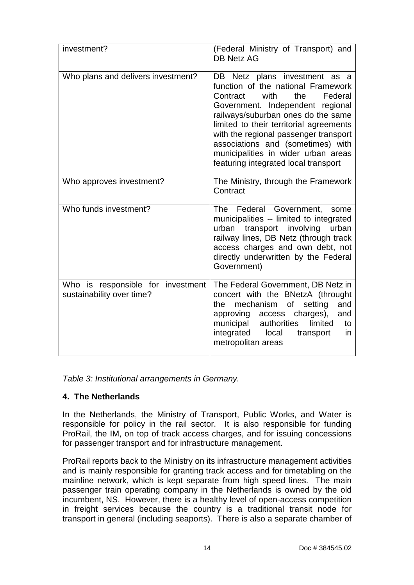| investment?                                                    | (Federal Ministry of Transport) and<br><b>DB Netz AG</b>                                                                                                                                                                                                                                                                                                                                    |
|----------------------------------------------------------------|---------------------------------------------------------------------------------------------------------------------------------------------------------------------------------------------------------------------------------------------------------------------------------------------------------------------------------------------------------------------------------------------|
| Who plans and delivers investment?                             | DB Netz plans investment as a<br>function of the national Framework<br>with<br>the<br>Contract<br>Federal<br>Government. Independent regional<br>railways/suburban ones do the same<br>limited to their territorial agreements<br>with the regional passenger transport<br>associations and (sometimes) with<br>municipalities in wider urban areas<br>featuring integrated local transport |
| Who approves investment?                                       | The Ministry, through the Framework<br>Contract                                                                                                                                                                                                                                                                                                                                             |
| Who funds investment?                                          | Federal Government,<br>The<br>some<br>municipalities -- limited to integrated<br>urban<br>transport involving<br>urban<br>railway lines, DB Netz (through track<br>access charges and own debt, not<br>directly underwritten by the Federal<br>Government)                                                                                                                                  |
| Who is responsible for investment<br>sustainability over time? | The Federal Government, DB Netz in<br>concert with the BNetzA (throught<br>mechanism<br>of<br>setting<br>and<br>the<br>approving access charges),<br>and<br>municipal authorities<br>limited<br>to<br>integrated<br>local<br>transport<br>in.<br>metropolitan areas                                                                                                                         |

Table 3: Institutional arrangements in Germany.

# **4. The Netherlands**

In the Netherlands, the Ministry of Transport, Public Works, and Water is responsible for policy in the rail sector. It is also responsible for funding ProRail, the IM, on top of track access charges, and for issuing concessions for passenger transport and for infrastructure management.

ProRail reports back to the Ministry on its infrastructure management activities and is mainly responsible for granting track access and for timetabling on the mainline network, which is kept separate from high speed lines. The main passenger train operating company in the Netherlands is owned by the old incumbent, NS. However, there is a healthy level of open-access competition in freight services because the country is a traditional transit node for transport in general (including seaports). There is also a separate chamber of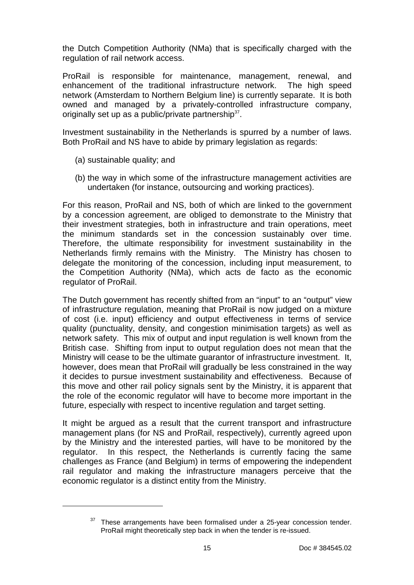the Dutch Competition Authority (NMa) that is specifically charged with the regulation of rail network access.

ProRail is responsible for maintenance, management, renewal, and enhancement of the traditional infrastructure network. The high speed network (Amsterdam to Northern Belgium line) is currently separate. It is both owned and managed by a privately-controlled infrastructure company, originally set up as a public/private partnership<sup>37</sup>.

Investment sustainability in the Netherlands is spurred by a number of laws. Both ProRail and NS have to abide by primary legislation as regards:

(a) sustainable quality; and

l

(b) the way in which some of the infrastructure management activities are undertaken (for instance, outsourcing and working practices).

For this reason, ProRail and NS, both of which are linked to the government by a concession agreement, are obliged to demonstrate to the Ministry that their investment strategies, both in infrastructure and train operations, meet the minimum standards set in the concession sustainably over time. Therefore, the ultimate responsibility for investment sustainability in the Netherlands firmly remains with the Ministry. The Ministry has chosen to delegate the monitoring of the concession, including input measurement, to the Competition Authority (NMa), which acts de facto as the economic regulator of ProRail.

The Dutch government has recently shifted from an "input" to an "output" view of infrastructure regulation, meaning that ProRail is now judged on a mixture of cost (i.e. input) efficiency and output effectiveness in terms of service quality (punctuality, density, and congestion minimisation targets) as well as network safety. This mix of output and input regulation is well known from the British case. Shifting from input to output regulation does not mean that the Ministry will cease to be the ultimate guarantor of infrastructure investment. It, however, does mean that ProRail will gradually be less constrained in the way it decides to pursue investment sustainability and effectiveness. Because of this move and other rail policy signals sent by the Ministry, it is apparent that the role of the economic regulator will have to become more important in the future, especially with respect to incentive regulation and target setting.

It might be argued as a result that the current transport and infrastructure management plans (for NS and ProRail, respectively), currently agreed upon by the Ministry and the interested parties, will have to be monitored by the regulator. In this respect, the Netherlands is currently facing the same challenges as France (and Belgium) in terms of empowering the independent rail regulator and making the infrastructure managers perceive that the economic regulator is a distinct entity from the Ministry.

 $37$  These arrangements have been formalised under a 25-year concession tender. ProRail might theoretically step back in when the tender is re-issued.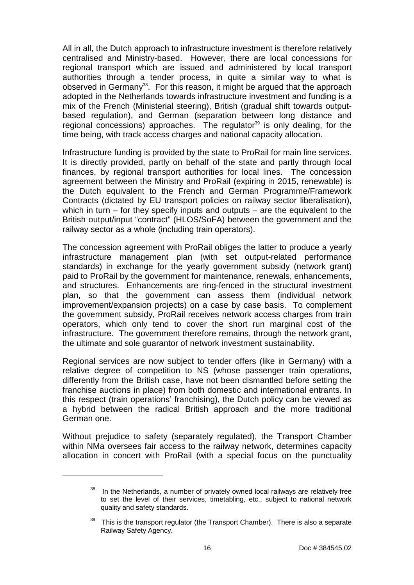All in all, the Dutch approach to infrastructure investment is therefore relatively centralised and Ministry-based. However, there are local concessions for regional transport which are issued and administered by local transport authorities through a tender process, in quite a similar way to what is observed in Germany<sup>38</sup>. For this reason, it might be argued that the approach adopted in the Netherlands towards infrastructure investment and funding is a mix of the French (Ministerial steering), British (gradual shift towards outputbased regulation), and German (separation between long distance and regional concessions) approaches. The regulator<sup>39</sup> is only dealing, for the time being, with track access charges and national capacity allocation.

Infrastructure funding is provided by the state to ProRail for main line services. It is directly provided, partly on behalf of the state and partly through local finances, by regional transport authorities for local lines. The concession agreement between the Ministry and ProRail (expiring in 2015, renewable) is the Dutch equivalent to the French and German Programme/Framework Contracts (dictated by EU transport policies on railway sector liberalisation), which in turn – for they specify inputs and outputs – are the equivalent to the British output/input "contract" (HLOS/SoFA) between the government and the railway sector as a whole (including train operators).

The concession agreement with ProRail obliges the latter to produce a yearly infrastructure management plan (with set output-related performance standards) in exchange for the yearly government subsidy (network grant) paid to ProRail by the government for maintenance, renewals, enhancements, and structures. Enhancements are ring-fenced in the structural investment plan, so that the government can assess them (individual network improvement/expansion projects) on a case by case basis. To complement the government subsidy, ProRail receives network access charges from train operators, which only tend to cover the short run marginal cost of the infrastructure. The government therefore remains, through the network grant, the ultimate and sole guarantor of network investment sustainability.

Regional services are now subject to tender offers (like in Germany) with a relative degree of competition to NS (whose passenger train operations, differently from the British case, have not been dismantled before setting the franchise auctions in place) from both domestic and international entrants. In this respect (train operations' franchising), the Dutch policy can be viewed as a hybrid between the radical British approach and the more traditional German one.

Without prejudice to safety (separately regulated), the Transport Chamber within NMa oversees fair access to the railway network, determines capacity allocation in concert with ProRail (with a special focus on the punctuality

 $\overline{a}$ 

In the Netherlands, a number of privately owned local railways are relatively free to set the level of their services, timetabling, etc., subject to national network quality and safety standards.

 $39$  This is the transport regulator (the Transport Chamber). There is also a separate Railway Safety Agency.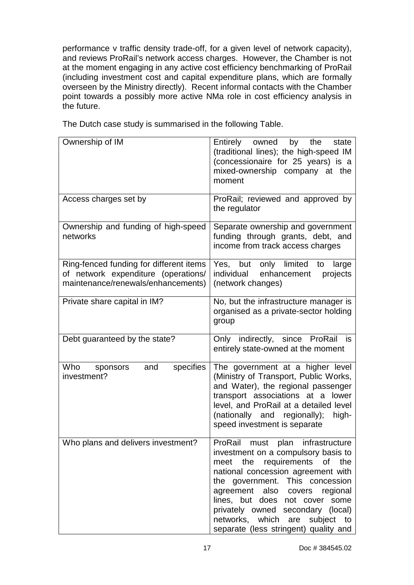performance v traffic density trade-off, for a given level of network capacity), and reviews ProRail's network access charges. However, the Chamber is not at the moment engaging in any active cost efficiency benchmarking of ProRail (including investment cost and capital expenditure plans, which are formally overseen by the Ministry directly). Recent informal contacts with the Chamber point towards a possibly more active NMa role in cost efficiency analysis in the future.

The Dutch case study is summarised in the following Table.

| Ownership of IM                                                                                                      | Entirely owned by the<br>state<br>(traditional lines); the high-speed IM<br>(concessionaire for 25 years) is a<br>mixed-ownership company at the<br>moment                                                                                                                                                                                                                       |
|----------------------------------------------------------------------------------------------------------------------|----------------------------------------------------------------------------------------------------------------------------------------------------------------------------------------------------------------------------------------------------------------------------------------------------------------------------------------------------------------------------------|
| Access charges set by                                                                                                | ProRail; reviewed and approved by<br>the regulator                                                                                                                                                                                                                                                                                                                               |
| Ownership and funding of high-speed<br>networks                                                                      | Separate ownership and government<br>funding through grants, debt, and<br>income from track access charges                                                                                                                                                                                                                                                                       |
| Ring-fenced funding for different items<br>of network expenditure (operations/<br>maintenance/renewals/enhancements) | Yes, but only limited<br>large<br>to<br>individual<br>enhancement<br>projects<br>(network changes)                                                                                                                                                                                                                                                                               |
| Private share capital in IM?                                                                                         | No, but the infrastructure manager is<br>organised as a private-sector holding<br>group                                                                                                                                                                                                                                                                                          |
| Debt guaranteed by the state?                                                                                        | Only indirectly, since ProRail<br>is<br>entirely state-owned at the moment                                                                                                                                                                                                                                                                                                       |
| Who<br>specifies<br>and<br>sponsors<br>investment?                                                                   | The government at a higher level<br>(Ministry of Transport, Public Works,<br>and Water), the regional passenger<br>transport associations at a lower<br>level, and ProRail at a detailed level<br>(nationally and regionally);<br>high-<br>speed investment is separate                                                                                                          |
| Who plans and delivers investment?                                                                                   | ProRail<br>plan<br>infrastructure<br>must<br>investment on a compulsory basis to<br>meet the requirements of the<br>national concession agreement with<br>the government. This concession<br>agreement also covers regional<br>lines, but does not cover some<br>privately owned secondary (local)<br>networks, which are subject<br>to<br>separate (less stringent) quality and |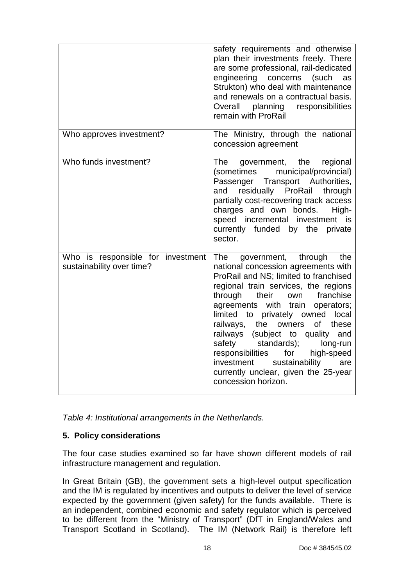|                                                                | safety requirements and otherwise<br>plan their investments freely. There<br>are some professional, rail-dedicated<br>engineering concerns (such<br>as<br>Strukton) who deal with maintenance<br>and renewals on a contractual basis.<br>planning<br>responsibilities<br>Overall<br>remain with ProRail                                                                                                                                                                                                                                                 |
|----------------------------------------------------------------|---------------------------------------------------------------------------------------------------------------------------------------------------------------------------------------------------------------------------------------------------------------------------------------------------------------------------------------------------------------------------------------------------------------------------------------------------------------------------------------------------------------------------------------------------------|
| Who approves investment?                                       | The Ministry, through the national<br>concession agreement                                                                                                                                                                                                                                                                                                                                                                                                                                                                                              |
| Who funds investment?                                          | <b>The</b><br>government, the regional<br>(sometimes municipal/provincial)<br>Passenger Transport Authorities,<br>residually ProRail through<br>and<br>partially cost-recovering track access<br>charges and own bonds.<br>High-<br>speed incremental investment is<br>currently funded by the<br>private<br>sector.                                                                                                                                                                                                                                    |
| Who is responsible for investment<br>sustainability over time? | The<br>government, through<br>the<br>national concession agreements with<br>ProRail and NS; limited to franchised<br>regional train services, the regions<br>through<br>franchise<br>their<br>own<br>agreements with train<br>operators;<br>limited to privately owned<br>local<br>the<br>railways,<br>owners<br>of<br>these<br>railways (subject to quality<br>and<br>safety<br>standards);<br>long-run<br>high-speed<br>responsibilities<br>for<br>investment<br>sustainability<br>are<br>currently unclear, given the 25-year<br>concession horizon. |

Table 4: Institutional arrangements in the Netherlands.

## **5. Policy considerations**

The four case studies examined so far have shown different models of rail infrastructure management and regulation.

In Great Britain (GB), the government sets a high-level output specification and the IM is regulated by incentives and outputs to deliver the level of service expected by the government (given safety) for the funds available. There is an independent, combined economic and safety regulator which is perceived to be different from the "Ministry of Transport" (DfT in England/Wales and Transport Scotland in Scotland). The IM (Network Rail) is therefore left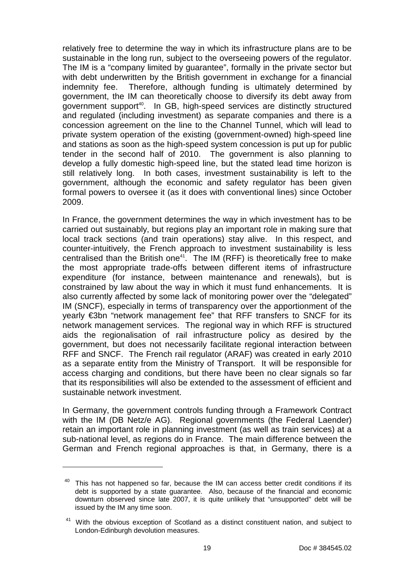relatively free to determine the way in which its infrastructure plans are to be sustainable in the long run, subject to the overseeing powers of the regulator. The IM is a "company limited by guarantee", formally in the private sector but with debt underwritten by the British government in exchange for a financial indemnity fee. Therefore, although funding is ultimately determined by government, the IM can theoretically choose to diversify its debt away from government support<sup>40</sup>. In GB, high-speed services are distinctly structured and regulated (including investment) as separate companies and there is a concession agreement on the line to the Channel Tunnel, which will lead to private system operation of the existing (government-owned) high-speed line and stations as soon as the high-speed system concession is put up for public tender in the second half of 2010. The government is also planning to develop a fully domestic high-speed line, but the stated lead time horizon is still relatively long. In both cases, investment sustainability is left to the government, although the economic and safety regulator has been given formal powers to oversee it (as it does with conventional lines) since October 2009.

In France, the government determines the way in which investment has to be carried out sustainably, but regions play an important role in making sure that local track sections (and train operations) stay alive. In this respect, and counter-intuitively, the French approach to investment sustainability is less centralised than the British one<sup>41</sup>. The IM (RFF) is theoretically free to make the most appropriate trade-offs between different items of infrastructure expenditure (for instance, between maintenance and renewals), but is constrained by law about the way in which it must fund enhancements. It is also currently affected by some lack of monitoring power over the "delegated" IM (SNCF), especially in terms of transparency over the apportionment of the yearly €3bn "network management fee" that RFF transfers to SNCF for its network management services. The regional way in which RFF is structured aids the regionalisation of rail infrastructure policy as desired by the government, but does not necessarily facilitate regional interaction between RFF and SNCF. The French rail regulator (ARAF) was created in early 2010 as a separate entity from the Ministry of Transport. It will be responsible for access charging and conditions, but there have been no clear signals so far that its responsibilities will also be extended to the assessment of efficient and sustainable network investment.

In Germany, the government controls funding through a Framework Contract with the IM (DB Netz/e AG). Regional governments (the Federal Laender) retain an important role in planning investment (as well as train services) at a sub-national level, as regions do in France. The main difference between the German and French regional approaches is that, in Germany, there is a

 $40$  This has not happened so far, because the IM can access better credit conditions if its debt is supported by a state guarantee. Also, because of the financial and economic downturn observed since late 2007, it is quite unlikely that "unsupported" debt will be issued by the IM any time soon.

 $41$  With the obvious exception of Scotland as a distinct constituent nation, and subject to London-Edinburgh devolution measures.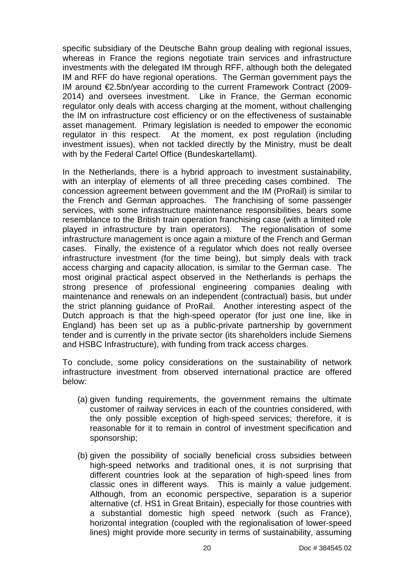specific subsidiary of the Deutsche Bahn group dealing with regional issues, whereas in France the regions negotiate train services and infrastructure investments with the delegated IM through RFF, although both the delegated IM and RFF do have regional operations. The German government pays the IM around €2.5bn/year according to the current Framework Contract (2009- 2014) and oversees investment. Like in France, the German economic regulator only deals with access charging at the moment, without challenging the IM on infrastructure cost efficiency or on the effectiveness of sustainable asset management. Primary legislation is needed to empower the economic regulator in this respect. At the moment, ex post regulation (including investment issues), when not tackled directly by the Ministry, must be dealt with by the Federal Cartel Office (Bundeskartellamt).

In the Netherlands, there is a hybrid approach to investment sustainability, with an interplay of elements of all three preceding cases combined. The concession agreement between government and the IM (ProRail) is similar to the French and German approaches. The franchising of some passenger services, with some infrastructure maintenance responsibilities, bears some resemblance to the British train operation franchising case (with a limited role played in infrastructure by train operators). The regionalisation of some infrastructure management is once again a mixture of the French and German cases. Finally, the existence of a regulator which does not really oversee infrastructure investment (for the time being), but simply deals with track access charging and capacity allocation, is similar to the German case. The most original practical aspect observed in the Netherlands is perhaps the strong presence of professional engineering companies dealing with maintenance and renewals on an independent (contractual) basis, but under the strict planning guidance of ProRail. Another interesting aspect of the Dutch approach is that the high-speed operator (for just one line, like in England) has been set up as a public-private partnership by government tender and is currently in the private sector (its shareholders include Siemens and HSBC Infrastructure), with funding from track access charges.

To conclude, some policy considerations on the sustainability of network infrastructure investment from observed international practice are offered below:

- (a) given funding requirements, the government remains the ultimate customer of railway services in each of the countries considered, with the only possible exception of high-speed services; therefore, it is reasonable for it to remain in control of investment specification and sponsorship;
- (b) given the possibility of socially beneficial cross subsidies between high-speed networks and traditional ones, it is not surprising that different countries look at the separation of high-speed lines from classic ones in different ways. This is mainly a value judgement. Although, from an economic perspective, separation is a superior alternative (cf. HS1 in Great Britain), especially for those countries with a substantial domestic high speed network (such as France), horizontal integration (coupled with the regionalisation of lower-speed lines) might provide more security in terms of sustainability, assuming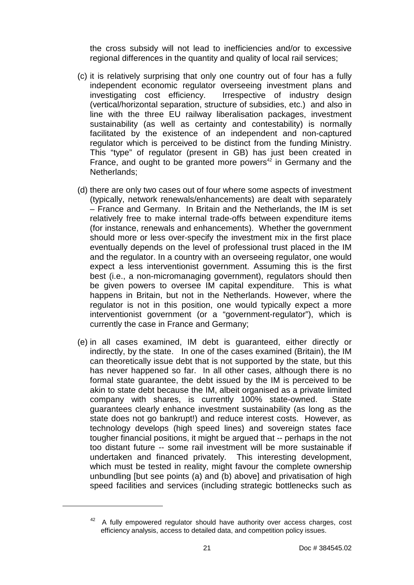the cross subsidy will not lead to inefficiencies and/or to excessive regional differences in the quantity and quality of local rail services;

- (c) it is relatively surprising that only one country out of four has a fully independent economic regulator overseeing investment plans and investigating cost efficiency. Irrespective of industry design (vertical/horizontal separation, structure of subsidies, etc.) and also in line with the three EU railway liberalisation packages, investment sustainability (as well as certainty and contestability) is normally facilitated by the existence of an independent and non-captured regulator which is perceived to be distinct from the funding Ministry. This "type" of regulator (present in GB) has just been created in France, and ought to be granted more powers<sup>42</sup> in Germany and the Netherlands;
- (d) there are only two cases out of four where some aspects of investment (typically, network renewals/enhancements) are dealt with separately – France and Germany. In Britain and the Netherlands, the IM is set relatively free to make internal trade-offs between expenditure items (for instance, renewals and enhancements). Whether the government should more or less over-specify the investment mix in the first place eventually depends on the level of professional trust placed in the IM and the regulator. In a country with an overseeing regulator, one would expect a less interventionist government. Assuming this is the first best (i.e., a non-micromanaging government), regulators should then be given powers to oversee IM capital expenditure. This is what happens in Britain, but not in the Netherlands. However, where the regulator is not in this position, one would typically expect a more interventionist government (or a "government-regulator"), which is currently the case in France and Germany;
- (e) in all cases examined, IM debt is guaranteed, either directly or indirectly, by the state. In one of the cases examined (Britain), the IM can theoretically issue debt that is not supported by the state, but this has never happened so far. In all other cases, although there is no formal state guarantee, the debt issued by the IM is perceived to be akin to state debt because the IM, albeit organised as a private limited company with shares, is currently 100% state-owned. State guarantees clearly enhance investment sustainability (as long as the state does not go bankrupt!) and reduce interest costs. However, as technology develops (high speed lines) and sovereign states face tougher financial positions, it might be argued that -- perhaps in the not too distant future -- some rail investment will be more sustainable if undertaken and financed privately. This interesting development, which must be tested in reality, might favour the complete ownership unbundling [but see points (a) and (b) above] and privatisation of high speed facilities and services (including strategic bottlenecks such as

 $42$  A fully empowered regulator should have authority over access charges, cost efficiency analysis, access to detailed data, and competition policy issues.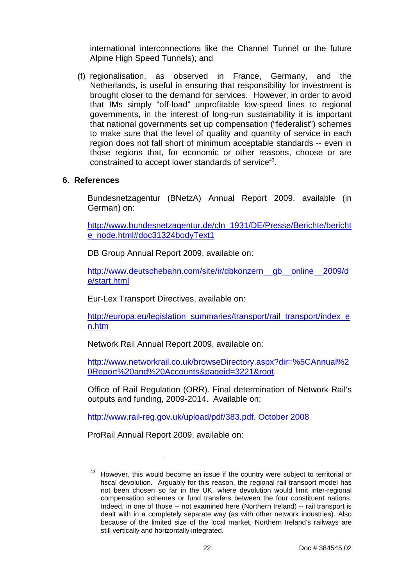international interconnections like the Channel Tunnel or the future Alpine High Speed Tunnels); and

(f) regionalisation, as observed in France, Germany, and the Netherlands, is useful in ensuring that responsibility for investment is brought closer to the demand for services. However, in order to avoid that IMs simply "off-load" unprofitable low-speed lines to regional governments, in the interest of long-run sustainability it is important that national governments set up compensation ("federalist") schemes to make sure that the level of quality and quantity of service in each region does not fall short of minimum acceptable standards -- even in those regions that, for economic or other reasons, choose or are constrained to accept lower standards of service<sup>43</sup>.

### **6. References**

l

Bundesnetzagentur (BNetzA) Annual Report 2009, available (in German) on:

http://www.bundesnetzagentur.de/cln\_1931/DE/Presse/Berichte/bericht e\_node.html#doc31324bodyText1

DB Group Annual Report 2009, available on:

http://www.deutschebahn.com/site/ir/dbkonzern\_\_gb\_\_online\_\_2009/d e/start.html

Eur-Lex Transport Directives, available on:

http://europa.eu/legislation\_summaries/transport/rail\_transport/index\_e n.htm

Network Rail Annual Report 2009, available on:

http://www.networkrail.co.uk/browseDirectory.aspx?dir=%5CAnnual%2 0Report%20and%20Accounts&pageid=3221&root.

Office of Rail Regulation (ORR). Final determination of Network Rail's outputs and funding, 2009-2014. Available on:

http://www.rail-reg.gov.uk/upload/pdf/383.pdf. October 2008

ProRail Annual Report 2009, available on:

<sup>&</sup>lt;sup>43</sup> However, this would become an issue if the country were subject to territorial or fiscal devolution. Arguably for this reason, the regional rail transport model has not been chosen so far in the UK, where devolution would limit inter-regional compensation schemes or fund transfers between the four constituent nations. Indeed, in one of those -- not examined here (Northern Ireland) -- rail transport is dealt with in a completely separate way (as with other network industries). Also because of the limited size of the local market, Northern Ireland's railways are still vertically and horizontally integrated.